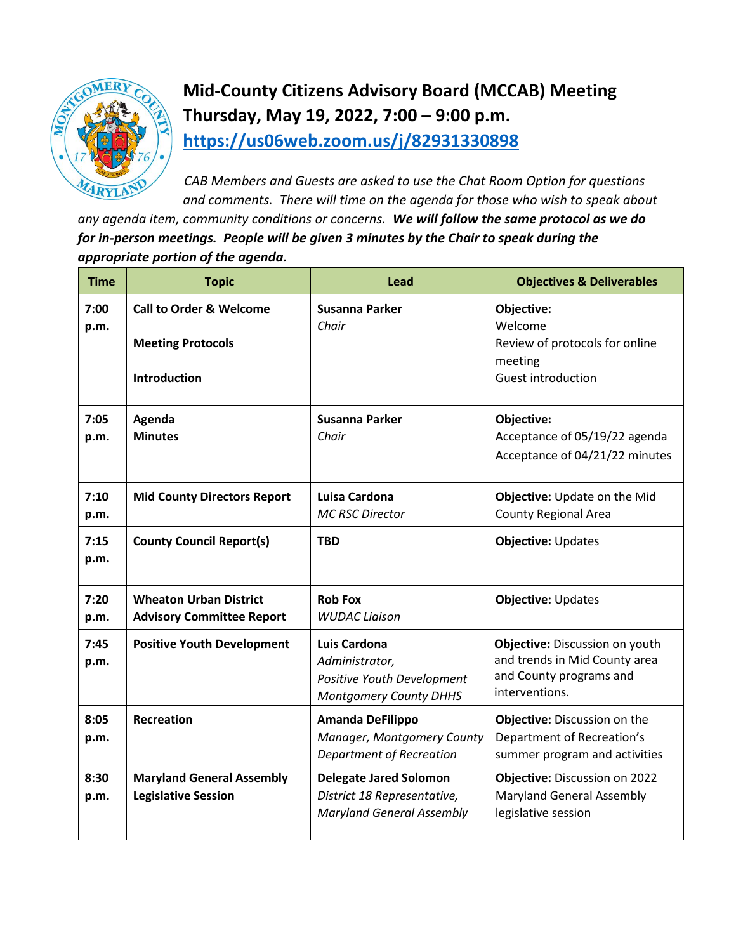

## **Mid-County Citizens Advisory Board (MCCAB) Meeting Thursday, May 19, 2022, 7:00 – 9:00 p.m. <https://us06web.zoom.us/j/82931330898>**

*CAB Members and Guests are asked to use the Chat Room Option for questions and comments. There will time on the agenda for those who wish to speak about* 

*any agenda item, community conditions or concerns. We will follow the same protocol as we do for in-person meetings. People will be given 3 minutes by the Chair to speak during the appropriate portion of the agenda.* 

| <b>Time</b>  | <b>Topic</b>                                                                          | <b>Lead</b>                                                                                      | <b>Objectives &amp; Deliverables</b>                                                                         |
|--------------|---------------------------------------------------------------------------------------|--------------------------------------------------------------------------------------------------|--------------------------------------------------------------------------------------------------------------|
| 7:00<br>p.m. | <b>Call to Order &amp; Welcome</b><br><b>Meeting Protocols</b><br><b>Introduction</b> | Susanna Parker<br>Chair                                                                          | Objective:<br>Welcome<br>Review of protocols for online<br>meeting<br><b>Guest introduction</b>              |
| 7:05<br>p.m. | Agenda<br><b>Minutes</b>                                                              | <b>Susanna Parker</b><br>Chair                                                                   | Objective:<br>Acceptance of 05/19/22 agenda<br>Acceptance of 04/21/22 minutes                                |
| 7:10<br>p.m. | <b>Mid County Directors Report</b>                                                    | Luisa Cardona<br><b>MC RSC Director</b>                                                          | Objective: Update on the Mid<br><b>County Regional Area</b>                                                  |
| 7:15<br>p.m. | <b>County Council Report(s)</b>                                                       | <b>TBD</b>                                                                                       | Objective: Updates                                                                                           |
| 7:20<br>p.m. | <b>Wheaton Urban District</b><br><b>Advisory Committee Report</b>                     | <b>Rob Fox</b><br><b>WUDAC Liaison</b>                                                           | <b>Objective: Updates</b>                                                                                    |
| 7:45<br>p.m. | <b>Positive Youth Development</b>                                                     | Luis Cardona<br>Administrator,<br>Positive Youth Development<br><b>Montgomery County DHHS</b>    | Objective: Discussion on youth<br>and trends in Mid County area<br>and County programs and<br>interventions. |
| 8:05<br>p.m. | <b>Recreation</b>                                                                     | Amanda DeFilippo<br>Manager, Montgomery County<br><b>Department of Recreation</b>                | Objective: Discussion on the<br>Department of Recreation's<br>summer program and activities                  |
| 8:30<br>p.m. | <b>Maryland General Assembly</b><br><b>Legislative Session</b>                        | <b>Delegate Jared Solomon</b><br>District 18 Representative,<br><b>Maryland General Assembly</b> | Objective: Discussion on 2022<br><b>Maryland General Assembly</b><br>legislative session                     |